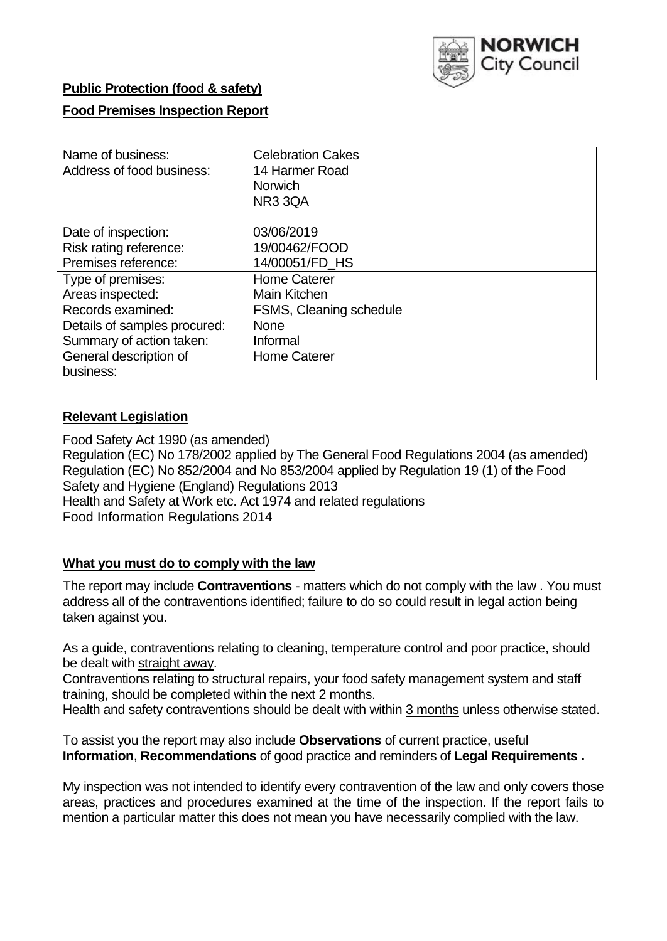

## **Public Protection (food & safety)**

## **Food Premises Inspection Report**

| Name of business:            | <b>Celebration Cakes</b> |
|------------------------------|--------------------------|
| Address of food business:    | 14 Harmer Road           |
|                              | <b>Norwich</b>           |
|                              | NR33QA                   |
| Date of inspection:          | 03/06/2019               |
| Risk rating reference:       | 19/00462/FOOD            |
| Premises reference:          | 14/00051/FD HS           |
| Type of premises:            | <b>Home Caterer</b>      |
| Areas inspected:             | Main Kitchen             |
| Records examined:            | FSMS, Cleaning schedule  |
| Details of samples procured: | <b>None</b>              |
| Summary of action taken:     | Informal                 |
| General description of       | <b>Home Caterer</b>      |
| business:                    |                          |

## **Relevant Legislation**

Food Safety Act 1990 (as amended) Regulation (EC) No 178/2002 applied by The General Food Regulations 2004 (as amended) Regulation (EC) No 852/2004 and No 853/2004 applied by Regulation 19 (1) of the Food Safety and Hygiene (England) Regulations 2013 Health and Safety at Work etc. Act 1974 and related regulations Food Information Regulations 2014

### **What you must do to comply with the law**

The report may include **Contraventions** - matters which do not comply with the law . You must address all of the contraventions identified; failure to do so could result in legal action being taken against you.

As a guide, contraventions relating to cleaning, temperature control and poor practice, should be dealt with straight away.

Contraventions relating to structural repairs, your food safety management system and staff training, should be completed within the next 2 months.

Health and safety contraventions should be dealt with within 3 months unless otherwise stated.

To assist you the report may also include **Observations** of current practice, useful **Information**, **Recommendations** of good practice and reminders of **Legal Requirements .**

My inspection was not intended to identify every contravention of the law and only covers those areas, practices and procedures examined at the time of the inspection. If the report fails to mention a particular matter this does not mean you have necessarily complied with the law.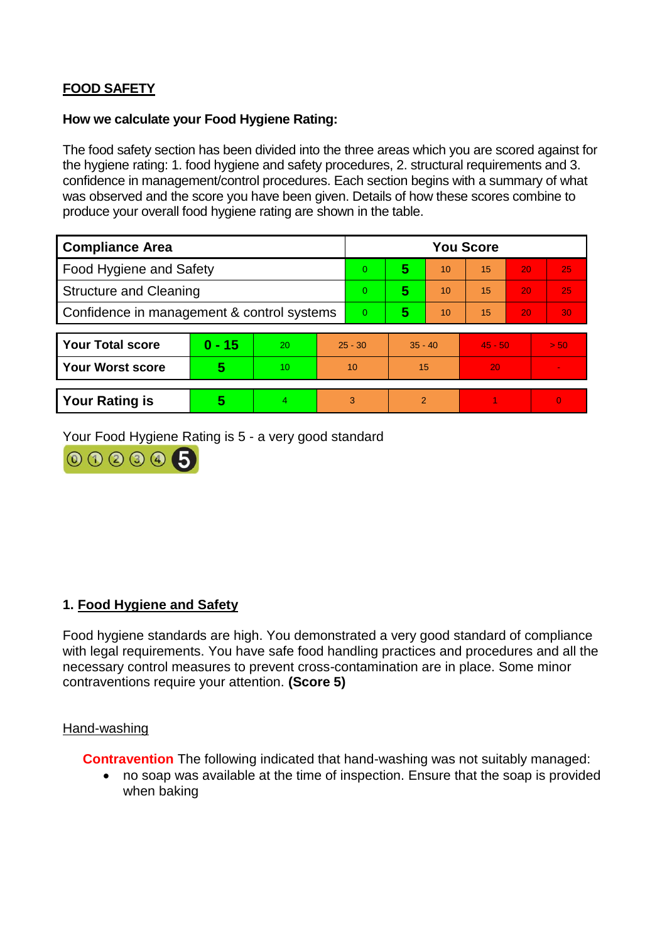# **FOOD SAFETY**

### **How we calculate your Food Hygiene Rating:**

The food safety section has been divided into the three areas which you are scored against for the hygiene rating: 1. food hygiene and safety procedures, 2. structural requirements and 3. confidence in management/control procedures. Each section begins with a summary of what was observed and the score you have been given. Details of how these scores combine to produce your overall food hygiene rating are shown in the table.

| <b>Compliance Area</b>                     |          |    |           | <b>You Score</b> |                |    |           |    |                |  |  |
|--------------------------------------------|----------|----|-----------|------------------|----------------|----|-----------|----|----------------|--|--|
| Food Hygiene and Safety                    |          |    |           | $\Omega$         | 5              | 10 | 15        | 20 | 25             |  |  |
| <b>Structure and Cleaning</b>              |          |    | $\Omega$  | 5                | 10             | 15 | 20        | 25 |                |  |  |
| Confidence in management & control systems |          |    | 0         | 5                | 10             | 15 | 20        | 30 |                |  |  |
|                                            |          |    |           |                  |                |    |           |    |                |  |  |
| <b>Your Total score</b>                    | $0 - 15$ | 20 | $25 - 30$ |                  | $35 - 40$      |    | $45 - 50$ |    | > 50           |  |  |
| <b>Your Worst score</b>                    | 5        | 10 | 10        |                  | 15             |    | 20        |    | $\blacksquare$ |  |  |
|                                            |          |    |           |                  |                |    |           |    |                |  |  |
| <b>Your Rating is</b>                      | 5        | 4  | 3         |                  | $\overline{2}$ |    |           |    | $\Omega$       |  |  |

Your Food Hygiene Rating is 5 - a very good standard



## **1. Food Hygiene and Safety**

Food hygiene standards are high. You demonstrated a very good standard of compliance with legal requirements. You have safe food handling practices and procedures and all the necessary control measures to prevent cross-contamination are in place. Some minor contraventions require your attention. **(Score 5)**

#### Hand-washing

**Contravention** The following indicated that hand-washing was not suitably managed:

 no soap was available at the time of inspection. Ensure that the soap is provided when baking